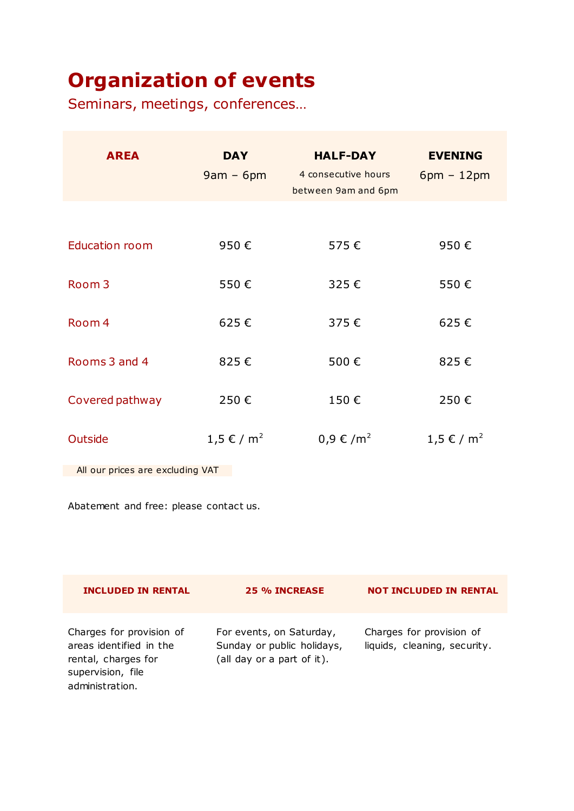## **Organization of events**

Seminars, meetings, conferences…

| <b>AREA</b>                      | <b>DAY</b><br>$9am - 6pm$ | <b>HALF-DAY</b><br>4 consecutive hours<br>between 9am and 6pm | <b>EVENING</b><br>$6pm - 12pm$ |  |  |
|----------------------------------|---------------------------|---------------------------------------------------------------|--------------------------------|--|--|
|                                  |                           |                                                               |                                |  |  |
| <b>Education room</b>            | 950€                      | 575€                                                          | 950€                           |  |  |
| Room <sub>3</sub>                | 550€                      | 325€                                                          | 550€                           |  |  |
| Room 4                           | 625€                      | 375€                                                          | 625€                           |  |  |
| Rooms 3 and 4                    | 825€                      | 500€                                                          | 825€                           |  |  |
| Covered pathway                  | 250€                      | 150€                                                          | 250€                           |  |  |
| Outside                          | 1,5 € / m <sup>2</sup>    | 0,9 € /m <sup>2</sup>                                         | 1,5 € / m <sup>2</sup>         |  |  |
| All our prices are excluding VAT |                           |                                                               |                                |  |  |

Abatement and free: please contact us.

| <b>INCLUDED IN RENTAL</b>                                                                                          | 25 % INCREASE                                                                        | <b>NOT INCLUDED IN RENTAL</b>                            |
|--------------------------------------------------------------------------------------------------------------------|--------------------------------------------------------------------------------------|----------------------------------------------------------|
| Charges for provision of<br>areas identified in the<br>rental, charges for<br>supervision, file<br>administration. | For events, on Saturday,<br>Sunday or public holidays,<br>(all day or a part of it). | Charges for provision of<br>liquids, cleaning, security. |